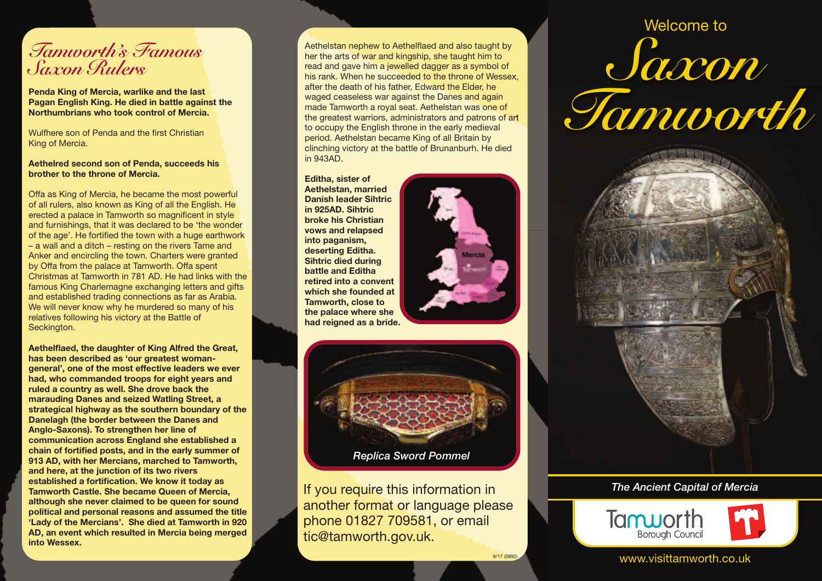## *Tamworth' s Famous Saxon Rulers*

**Penda King of Mercia, warlike and the last Pagan English King. He died in battle against the Northumbrians who took control of Mercia.**

Wulfhere son of Penda and the first Christian King of Mercia.

## **Aethelred second son of Penda, succeeds his brother to the throne of Mercia.**

Offa as King of Mercia, he became the most powerful of all rulers, also known as King of all the English. He erected a palace in Tamworth so magnificent in style and furnishings, that it was declared to be 'the wonder of the age'. He fortified the town with a huge earthwork – a wall and a ditch – resting on the rivers Tame and Anker and encircling the town. Charters were granted by Offa from the palace at Tamworth. Offa spent Christmas at Tamworth in 781 AD. He had links with the famous King Charlemagne exchanging letters and gifts and established trading connections as far as Arabia. We will never know why he murdered so many of his relatives following his victory at the Battle of Seckington.

**Aethelflaed, the daughter of King Alfred the Great, has been described as 'our greatest womangeneral', one of the most effective leaders we ever had, who commanded troops for eight years and ruled a country as well. She drove back the marauding Danes and seized Watling Street, a strategical highway as the southern boundary of the Danelagh (the border between the Danes and Anglo-Saxons). To strengthen her line of communication across England she established a chain of fortified posts, and in the early summer of 913 AD, with her Mercians, marched to Tamworth, and here, at the junction of its two rivers established a fortification. We know it today as Tamworth Castle. She became Queen of Mercia, although she never claimed to be queen for sound political and personal reasons and assumed the title 'Lady of the Mercians'. She died at Tamworth in 920 AD, an event which resulted in Mercia being merged into Wessex.**

Aethelstan nephew to Aethelflaed and also taught by her the arts of war and kingship, she taught him to read and gave him a jewelled dagger as a symbol of his rank. When he succeeded to the throne of Wessex, after the death of his father, Edward the Elder, he waged ceaseless war against the Danes and again made Tamworth a royal seat. Aethelstan was one of the greatest warriors, administrators and patrons of art to occupy the English throne in the early medieval period. Aethelstan became King of all Britain by clinching victory at the battle of Brunanburh. He died in 943AD.

**Editha, sister of Aethelstan, married Danish leader Sihtric in 925AD. Sihtric broke his Christian vows and relapsed into paganism, deserting Editha. Sihtric died during battle and Editha retired into a convent which she founded at Tamworth, close to the palace where she had reigned as a bride.**



9/17 (0892)



If you require this information in another format or language please phone 01827 709581, or email tic@tamworth.gov.uk.

## *Saxon Tamworth* Welcome to



## *The Ancient Capital of Mercia*